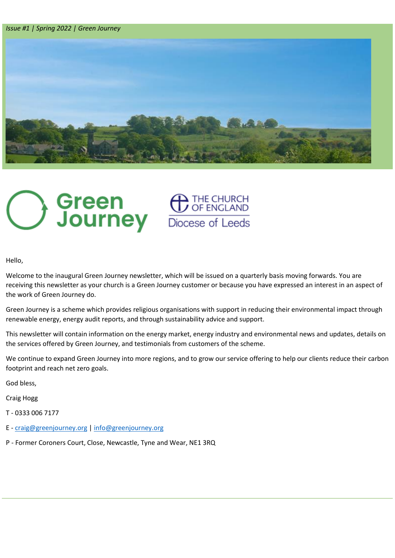*Issue #1 | Spring 2022 | Green Journey* 





Hello,

Welcome to the inaugural Green Journey newsletter, which will be issued on a quarterly basis moving forwards. You are receiving this newsletter as your church is a Green Journey customer or because you have expressed an interest in an aspect of the work of Green Journey do.

Green Journey is a scheme which provides religious organisations with support in reducing their environmental impact through renewable energy, energy audit reports, and through sustainability advice and support.

This newsletter will contain information on the energy market, energy industry and environmental news and updates, details on the services offered by Green Journey, and testimonials from customers of the scheme.

We continue to expand Green Journey into more regions, and to grow our service offering to help our clients reduce their carbon footprint and reach net zero goals.

God bless,

Craig Hogg

T - 0333 006 7177

- E [craig@greenjourney.org](mailto:craig@greenjourney.org) [| info@greenjourney.org](mailto:info@greenjourney.org)
- P Former Coroners Court, Close, Newcastle, Tyne and Wear, NE1 3RQ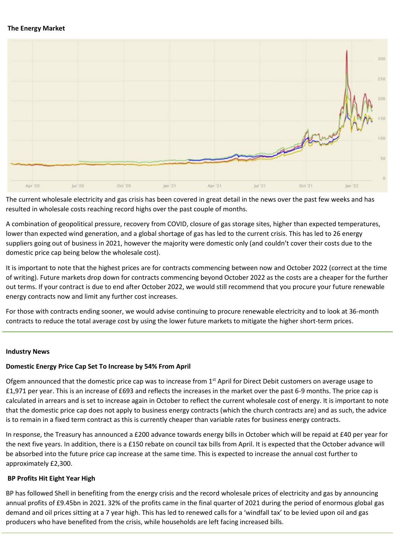## **The Energy Market**



The current wholesale electricity and gas crisis has been covered in great detail in the news over the past few weeks and has resulted in wholesale costs reaching record highs over the past couple of months.

A combination of geopolitical pressure, recovery from COVID, closure of gas storage sites, higher than expected temperatures, lower than expected wind generation, and a global shortage of gas has led to the current crisis. This has led to 26 energy suppliers going out of business in 2021, however the majority were domestic only (and couldn't cover their costs due to the domestic price cap being below the wholesale cost).

It is important to note that the highest prices are for contracts commencing between now and October 2022 (correct at the time of writing). Future markets drop down for contracts commencing beyond October 2022 as the costs are a cheaper for the further out terms. If your contract is due to end after October 2022, we would still recommend that you procure your future renewable energy contracts now and limit any further cost increases.

For those with contracts ending sooner, we would advise continuing to procure renewable electricity and to look at 36-month contracts to reduce the total average cost by using the lower future markets to mitigate the higher short-term prices.

# **Industry News**

# **Domestic Energy Price Cap Set To Increase by 54% From April**

Ofgem announced that the domestic price cap was to increase from  $1<sup>st</sup>$  April for Direct Debit customers on average usage to £1,971 per year. This is an increase of £693 and reflects the increases in the market over the past 6-9 months. The price cap is calculated in arrears and is set to increase again in October to reflect the current wholesale cost of energy. It is important to note that the domestic price cap does not apply to business energy contracts (which the church contracts are) and as such, the advice is to remain in a fixed term contract as this is currently cheaper than variable rates for business energy contracts.

In response, the Treasury has announced a £200 advance towards energy bills in October which will be repaid at £40 per year for the next five years. In addition, there is a £150 rebate on council tax bills from April. It is expected that the October advance will be absorbed into the future price cap increase at the same time. This is expected to increase the annual cost further to approximately £2,300.

# **BP Profits Hit Eight Year High**

BP has followed Shell in benefiting from the energy crisis and the record wholesale prices of electricity and gas by announcing annual profits of £9.45bn in 2021. 32% of the profits came in the final quarter of 2021 during the period of enormous global gas demand and oil prices sitting at a 7 year high. This has led to renewed calls for a 'windfall tax' to be levied upon oil and gas producers who have benefited from the crisis, while households are left facing increased bills.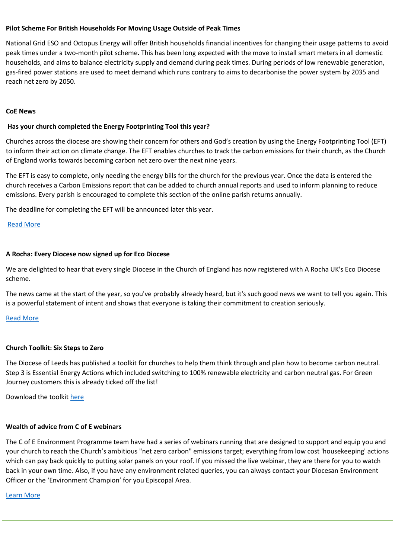## **Pilot Scheme For British Households For Moving Usage Outside of Peak Times**

National Grid ESO and Octopus Energy will offer British households financial incentives for changing their usage patterns to avoid peak times under a two-month pilot scheme. This has been long expected with the move to install smart meters in all domestic households, and aims to balance electricity supply and demand during peak times. During periods of low renewable generation, gas-fired power stations are used to meet demand which runs contrary to aims to decarbonise the power system by 2035 and reach net zero by 2050.

#### **CoE News**

# **Has your church completed the Energy Footprinting Tool this year?**

Churches across the diocese are showing their concern for others and God's creation by using the Energy Footprinting Tool (EFT) to inform their action on climate change. The EFT enables churches to track the carbon emissions for their church, as the Church of England works towards becoming carbon net zero over the next nine years.

The EFT is easy to complete, only needing the energy bills for the church for the previous year. Once the data is entered the church receives a Carbon Emissions report that can be added to church annual reports and used to inform planning to reduce emissions. Every parish is encouraged to complete this section of the online parish returns annually.

The deadline for completing the EFT will be announced later this year.

# [Read More](https://www.churchofengland.org/about/policy-and-thinking/our-views/environment-and-climate-change/about-our-environment/energy-footprint-tool)

# **A Rocha: Every Diocese now signed up for Eco Diocese**

We are delighted to hear that every single Diocese in the Church of England has now registered with A Rocha UK's Eco Diocese scheme.

The news came at the start of the year, so you've probably already heard, but it's such good news we want to tell you again. This is a powerful statement of intent and shows that everyone is taking their commitment to creation seriously.

# [Read More](https://www.churchofengland.org/media-and-news/press-releases/every-church-region-country-signs-become-eco-diocese-ahead-2030-net)

# **Church Toolkit: Six Steps to Zero**

The Diocese of Leeds has published a toolkit for churches to help them think through and plan how to become carbon neutral. Step 3 is Essential Energy Actions which included switching to 100% renewable electricity and carbon neutral gas. For Green Journey customers this is already ticked off the list!

Download the toolkit [here](https://www.leeds.anglican.org/sites/default/files/files/Churches%20toolkit%203.pdf)

# **Wealth of advice from C of E webinars**

The C of E Environment Programme team have had a series of webinars running that are designed to support and equip you and your church to reach the Church's ambitious "net zero carbon" emissions target; everything from low cost 'housekeeping' actions which can pay back quickly to putting solar panels on your roof. If you missed the live webinar, they are there for you to watch back in your own time. Also, if you have any environment related queries, you can always contact your Diocesan Environment Officer or the 'Environment Champion' for you Episcopal Area.

#### [Learn More](https://www.churchofengland.org/about/environment-and-climate-change/webinars-getting-net-zero-carbon)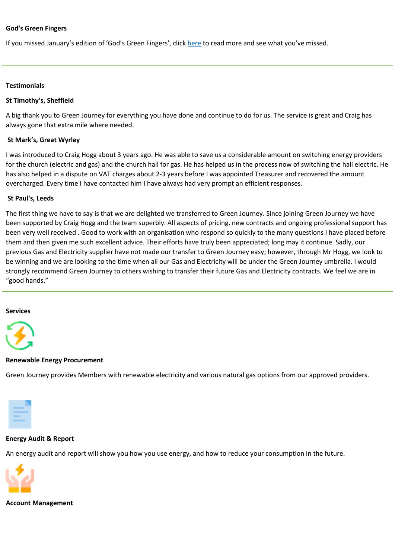## **God's Green Fingers**

If you missed January's edition of 'God's Green Fingers', click [here](https://myemail.constantcontact.com/Environment-E-news---January-2022.html?soid=1103337379516&aid=UFh1CgxNCmU) to read more and see what you've missed.

#### **Testimonials**

## **St Timothy's, Sheffield**

A big thank you to Green Journey for everything you have done and continue to do for us. The service is great and Craig has always gone that extra mile where needed.

## **St Mark's, Great Wyrley**

I was introduced to Craig Hogg about 3 years ago. He was able to save us a considerable amount on switching energy providers for the church (electric and gas) and the church hall for gas. He has helped us in the process now of switching the hall electric. He has also helped in a dispute on VAT charges about 2-3 years before I was appointed Treasurer and recovered the amount overcharged. Every time I have contacted him I have always had very prompt an efficient responses.

## **St Paul's, Leeds**

The first thing we have to say is that we are delighted we transferred to Green Journey. Since joining Green Journey we have been supported by Craig Hogg and the team superbly. All aspects of pricing, new contracts and ongoing professional support has been very well received . Good to work with an organisation who respond so quickly to the many questions I have placed before them and then given me such excellent advice. Their efforts have truly been appreciated; long may it continue. Sadly, our previous Gas and Electricity supplier have not made our transfer to Green Journey easy; however, through Mr Hogg, we look to be winning and we are looking to the time when all our Gas and Electricity will be under the Green Journey umbrella. I would strongly recommend Green Journey to others wishing to transfer their future Gas and Electricity contracts. We feel we are in "good hands."

#### **Services**



#### **Renewable Energy Procurement**

Green Journey provides Members with renewable electricity and various natural gas options from our approved providers.



# **Energy Audit & Report**

An energy audit and report will show you how you use energy, and how to reduce your consumption in the future.



# **Account Management**